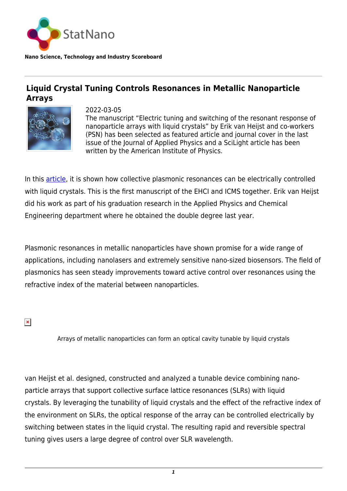

**Nano Science, Technology and Industry Scoreboard**

## **Liquid Crystal Tuning Controls Resonances in Metallic Nanoparticle Arrays**



2022-03-05 The manuscript "Electric tuning and switching of the resonant response of nanoparticle arrays with liquid crystals" by Erik van Heijst and co-workers (PSN) has been selected as featured article and journal cover in the last issue of the Journal of Applied Physics and a SciLight article has been written by the American Institute of Physics.

In this **article**, it is shown how collective plasmonic resonances can be electrically controlled with liquid crystals. This is the first manuscript of the EHCI and ICMS together. Erik van Heijst did his work as part of his graduation research in the Applied Physics and Chemical Engineering department where he obtained the double degree last year.

Plasmonic resonances in metallic nanoparticles have shown promise for a wide range of applications, including nanolasers and extremely sensitive nano-sized biosensors. The field of plasmonics has seen steady improvements toward active control over resonances using the refractive index of the material between nanoparticles.

 $\pmb{\times}$ 

Arrays of metallic nanoparticles can form an optical cavity tunable by liquid crystals

van Heijst et al. designed, constructed and analyzed a tunable device combining nanoparticle arrays that support collective surface lattice resonances (SLRs) with liquid crystals. By leveraging the tunability of liquid crystals and the effect of the refractive index of the environment on SLRs, the optical response of the array can be controlled electrically by switching between states in the liquid crystal. The resulting rapid and reversible spectral tuning gives users a large degree of control over SLR wavelength.

*1*